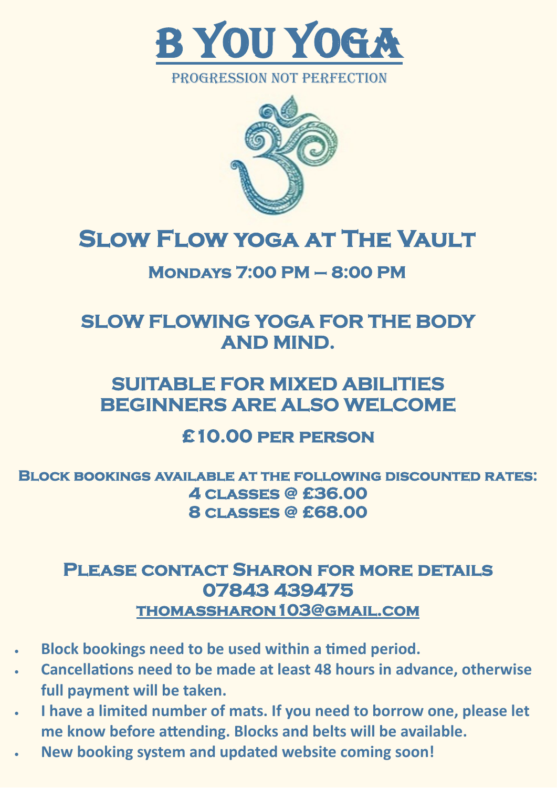

PROGRESSION NOT PERFECTION



## **Slow Flow yoga at The Vault**

#### **Mondays 7:00 PM – 8:00 PM**

### **SLOW FLOWING YOGA FOR THE BODY AND MIND.**

### **SUITABLE FOR MIXED ABILITIES BEGINNERS ARE ALSO WELCOME**

#### **£10.00 per person**

**Block bookings available at the following discounted rates: 4 classes @ £36.00 8 classes @ £68.00** 

#### **Please contact Sharon for more details 07843 439475 [thomassharon103@gmail.com](mailto:thomassharon103@gmail.com)**

- **Block bookings need to be used within a timed period.**
- **Cancellations need to be made at least 48 hours in advance, otherwise full payment will be taken.**
- **I have a limited number of mats. If you need to borrow one, please let me know before attending. Blocks and belts will be available.**
- **New booking system and updated website coming soon!**